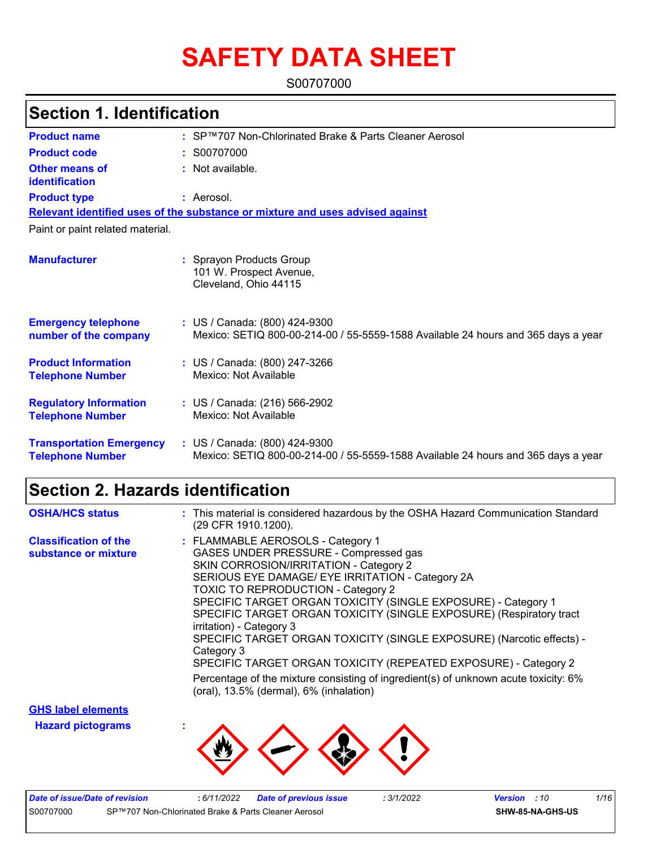# **SAFETY DATA SHEET**

S00707000

### **Section 1. Identification**

| <b>Product name</b>                                        | : SP™707 Non-Chlorinated Brake & Parts Cleaner Aerosol                                                             |
|------------------------------------------------------------|--------------------------------------------------------------------------------------------------------------------|
| <b>Product code</b>                                        | : S00707000                                                                                                        |
| Other means of<br>identification                           | : Not available.                                                                                                   |
| <b>Product type</b>                                        | : Aerosol.                                                                                                         |
|                                                            | Relevant identified uses of the substance or mixture and uses advised against                                      |
| Paint or paint related material.                           |                                                                                                                    |
| <b>Manufacturer</b>                                        | : Sprayon Products Group<br>101 W. Prospect Avenue,<br>Cleveland, Ohio 44115                                       |
| <b>Emergency telephone</b><br>number of the company        | : US / Canada: (800) 424-9300<br>Mexico: SETIQ 800-00-214-00 / 55-5559-1588 Available 24 hours and 365 days a year |
| <b>Product Information</b><br><b>Telephone Number</b>      | : US / Canada: (800) 247-3266<br>Mexico: Not Available                                                             |
| <b>Regulatory Information</b><br><b>Telephone Number</b>   | : US / Canada: (216) 566-2902<br>Mexico: Not Available                                                             |
| <b>Transportation Emergency</b><br><b>Telephone Number</b> | : US / Canada: (800) 424-9300<br>Mexico: SETIQ 800-00-214-00 / 55-5559-1588 Available 24 hours and 365 days a year |

### **Section 2. Hazards identification**

| <b>OSHA/HCS status</b>                               | : This material is considered hazardous by the OSHA Hazard Communication Standard<br>(29 CFR 1910.1200).                                                                                                                                                                                                                                                                                                                                                                                                                                                                                                                                                                              |
|------------------------------------------------------|---------------------------------------------------------------------------------------------------------------------------------------------------------------------------------------------------------------------------------------------------------------------------------------------------------------------------------------------------------------------------------------------------------------------------------------------------------------------------------------------------------------------------------------------------------------------------------------------------------------------------------------------------------------------------------------|
| <b>Classification of the</b><br>substance or mixture | : FLAMMABLE AEROSOLS - Category 1<br>GASES UNDER PRESSURE - Compressed gas<br>SKIN CORROSION/IRRITATION - Category 2<br>SERIOUS EYE DAMAGE/ EYE IRRITATION - Category 2A<br><b>TOXIC TO REPRODUCTION - Category 2</b><br>SPECIFIC TARGET ORGAN TOXICITY (SINGLE EXPOSURE) - Category 1<br>SPECIFIC TARGET ORGAN TOXICITY (SINGLE EXPOSURE) (Respiratory tract<br>irritation) - Category 3<br>SPECIFIC TARGET ORGAN TOXICITY (SINGLE EXPOSURE) (Narcotic effects) -<br>Category 3<br>SPECIFIC TARGET ORGAN TOXICITY (REPEATED EXPOSURE) - Category 2<br>Percentage of the mixture consisting of ingredient(s) of unknown acute toxicity: 6%<br>(oral), 13.5% (dermal), 6% (inhalation) |
| <b>OUO</b> lehel elements                            |                                                                                                                                                                                                                                                                                                                                                                                                                                                                                                                                                                                                                                                                                       |

**Hazard pictograms : GHS label elements**



| Date of issue/Date of revision |                                                      | : 6/11/2022 | <b>Date of previous issue</b> | : 3/1/2022 | <b>Version</b> : 10 |                  | 1/16 |
|--------------------------------|------------------------------------------------------|-------------|-------------------------------|------------|---------------------|------------------|------|
| S00707000                      | SP™707 Non-Chlorinated Brake & Parts Cleaner Aerosol |             |                               |            |                     | SHW-85-NA-GHS-US |      |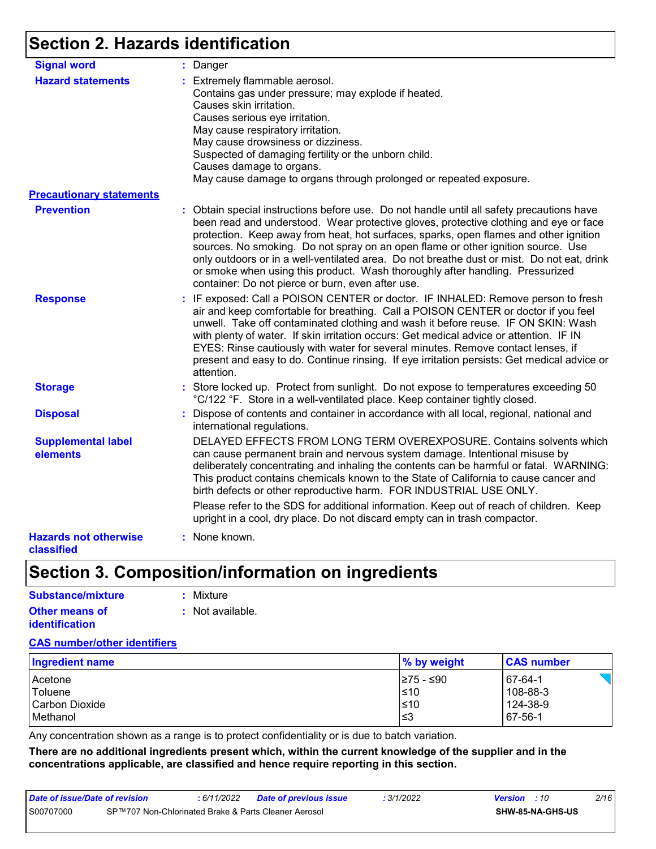### **Section 2. Hazards identification**

| <b>Signal word</b>                         | : Danger                                                                                                                                                                                                                                                                                                                                                                                                                                                                                                                                                                                            |
|--------------------------------------------|-----------------------------------------------------------------------------------------------------------------------------------------------------------------------------------------------------------------------------------------------------------------------------------------------------------------------------------------------------------------------------------------------------------------------------------------------------------------------------------------------------------------------------------------------------------------------------------------------------|
| <b>Hazard statements</b>                   | : Extremely flammable aerosol.<br>Contains gas under pressure; may explode if heated.<br>Causes skin irritation.<br>Causes serious eye irritation.<br>May cause respiratory irritation.<br>May cause drowsiness or dizziness.<br>Suspected of damaging fertility or the unborn child.<br>Causes damage to organs.<br>May cause damage to organs through prolonged or repeated exposure.                                                                                                                                                                                                             |
| <b>Precautionary statements</b>            |                                                                                                                                                                                                                                                                                                                                                                                                                                                                                                                                                                                                     |
| <b>Prevention</b>                          | : Obtain special instructions before use. Do not handle until all safety precautions have<br>been read and understood. Wear protective gloves, protective clothing and eye or face<br>protection. Keep away from heat, hot surfaces, sparks, open flames and other ignition<br>sources. No smoking. Do not spray on an open flame or other ignition source. Use<br>only outdoors or in a well-ventilated area. Do not breathe dust or mist. Do not eat, drink<br>or smoke when using this product. Wash thoroughly after handling. Pressurized<br>container: Do not pierce or burn, even after use. |
| <b>Response</b>                            | : IF exposed: Call a POISON CENTER or doctor. IF INHALED: Remove person to fresh<br>air and keep comfortable for breathing. Call a POISON CENTER or doctor if you feel<br>unwell. Take off contaminated clothing and wash it before reuse. IF ON SKIN: Wash<br>with plenty of water. If skin irritation occurs: Get medical advice or attention. IF IN<br>EYES: Rinse cautiously with water for several minutes. Remove contact lenses, if<br>present and easy to do. Continue rinsing. If eye irritation persists: Get medical advice or<br>attention.                                             |
| <b>Storage</b>                             | : Store locked up. Protect from sunlight. Do not expose to temperatures exceeding 50<br>°C/122 °F. Store in a well-ventilated place. Keep container tightly closed.                                                                                                                                                                                                                                                                                                                                                                                                                                 |
| <b>Disposal</b>                            | : Dispose of contents and container in accordance with all local, regional, national and<br>international regulations.                                                                                                                                                                                                                                                                                                                                                                                                                                                                              |
| <b>Supplemental label</b><br>elements      | DELAYED EFFECTS FROM LONG TERM OVEREXPOSURE. Contains solvents which<br>can cause permanent brain and nervous system damage. Intentional misuse by<br>deliberately concentrating and inhaling the contents can be harmful or fatal. WARNING:<br>This product contains chemicals known to the State of California to cause cancer and<br>birth defects or other reproductive harm. FOR INDUSTRIAL USE ONLY.                                                                                                                                                                                          |
|                                            | Please refer to the SDS for additional information. Keep out of reach of children. Keep<br>upright in a cool, dry place. Do not discard empty can in trash compactor.                                                                                                                                                                                                                                                                                                                                                                                                                               |
| <b>Hazards not otherwise</b><br>classified | : None known.                                                                                                                                                                                                                                                                                                                                                                                                                                                                                                                                                                                       |

### **Section 3. Composition/information on ingredients**

| Substance/mixture                       | : Mixture                   |
|-----------------------------------------|-----------------------------|
| <b>Other means of</b><br>identification | $\therefore$ Not available. |

### **CAS number/other identifiers**

| <b>Ingredient name</b> | $\%$ by weight | <b>CAS number</b> |
|------------------------|----------------|-------------------|
| Acetone                | l≥75 - ≤90     | 67-64-1           |
| Toluene                | l≤10           | 108-88-3          |
| l Carbon Dioxide       | l≤10           | 124-38-9          |
| Methanol               | ≤3             | 67-56-1           |

Any concentration shown as a range is to protect confidentiality or is due to batch variation.

**There are no additional ingredients present which, within the current knowledge of the supplier and in the concentrations applicable, are classified and hence require reporting in this section.**

| Date of issue/Date of revision                                    |  | 6/11/2022 | Date of previous issue | 3/1/2022                | <b>Version</b> : 10 | 2/16 |  |
|-------------------------------------------------------------------|--|-----------|------------------------|-------------------------|---------------------|------|--|
| S00707000<br>SP™707 Non-Chlorinated Brake & Parts Cleaner Aerosol |  |           |                        | <b>SHW-85-NA-GHS-US</b> |                     |      |  |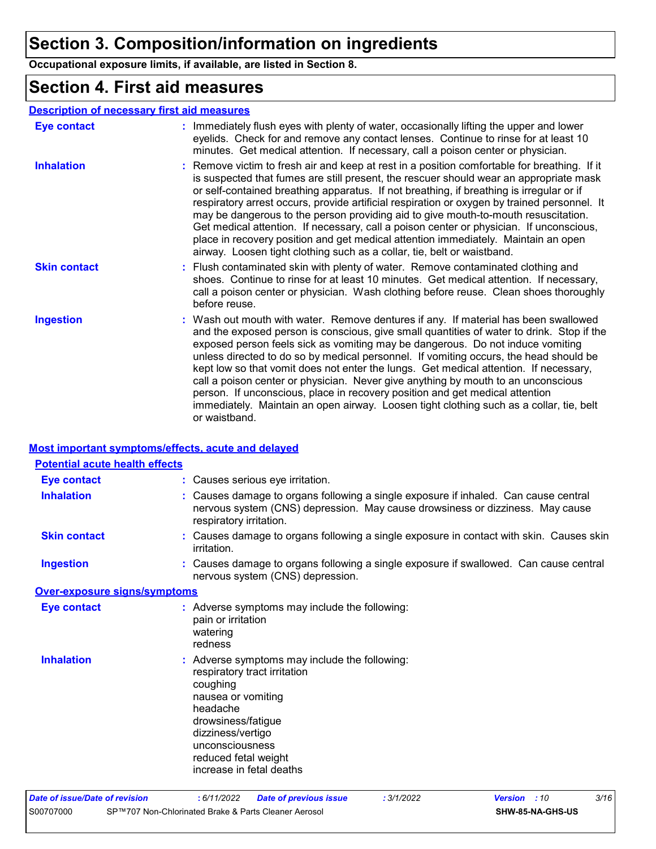### **Section 3. Composition/information on ingredients**

**Occupational exposure limits, if available, are listed in Section 8.**

### **Section 4. First aid measures**

#### **Description of necessary first aid measures**

| <b>Eye contact</b>  | : Immediately flush eyes with plenty of water, occasionally lifting the upper and lower<br>eyelids. Check for and remove any contact lenses. Continue to rinse for at least 10<br>minutes. Get medical attention. If necessary, call a poison center or physician.                                                                                                                                                                                                                                                                                                                                                                                                                                                                    |
|---------------------|---------------------------------------------------------------------------------------------------------------------------------------------------------------------------------------------------------------------------------------------------------------------------------------------------------------------------------------------------------------------------------------------------------------------------------------------------------------------------------------------------------------------------------------------------------------------------------------------------------------------------------------------------------------------------------------------------------------------------------------|
| <b>Inhalation</b>   | : Remove victim to fresh air and keep at rest in a position comfortable for breathing. If it<br>is suspected that fumes are still present, the rescuer should wear an appropriate mask<br>or self-contained breathing apparatus. If not breathing, if breathing is irregular or if<br>respiratory arrest occurs, provide artificial respiration or oxygen by trained personnel. It<br>may be dangerous to the person providing aid to give mouth-to-mouth resuscitation.<br>Get medical attention. If necessary, call a poison center or physician. If unconscious,<br>place in recovery position and get medical attention immediately. Maintain an open<br>airway. Loosen tight clothing such as a collar, tie, belt or waistband.  |
| <b>Skin contact</b> | : Flush contaminated skin with plenty of water. Remove contaminated clothing and<br>shoes. Continue to rinse for at least 10 minutes. Get medical attention. If necessary,<br>call a poison center or physician. Wash clothing before reuse. Clean shoes thoroughly<br>before reuse.                                                                                                                                                                                                                                                                                                                                                                                                                                                  |
| <b>Ingestion</b>    | : Wash out mouth with water. Remove dentures if any. If material has been swallowed<br>and the exposed person is conscious, give small quantities of water to drink. Stop if the<br>exposed person feels sick as vomiting may be dangerous. Do not induce vomiting<br>unless directed to do so by medical personnel. If vomiting occurs, the head should be<br>kept low so that vomit does not enter the lungs. Get medical attention. If necessary,<br>call a poison center or physician. Never give anything by mouth to an unconscious<br>person. If unconscious, place in recovery position and get medical attention<br>immediately. Maintain an open airway. Loosen tight clothing such as a collar, tie, belt<br>or waistband. |

#### **Most important symptoms/effects, acute and delayed**

| <b>Potential acute health effects</b> |                                                                                                                                                                                                                                               |
|---------------------------------------|-----------------------------------------------------------------------------------------------------------------------------------------------------------------------------------------------------------------------------------------------|
| <b>Eye contact</b>                    | : Causes serious eye irritation.                                                                                                                                                                                                              |
| <b>Inhalation</b>                     | : Causes damage to organs following a single exposure if inhaled. Can cause central<br>nervous system (CNS) depression. May cause drowsiness or dizziness. May cause<br>respiratory irritation.                                               |
| <b>Skin contact</b>                   | : Causes damage to organs following a single exposure in contact with skin. Causes skin<br>irritation.                                                                                                                                        |
| <b>Ingestion</b>                      | : Causes damage to organs following a single exposure if swallowed. Can cause central<br>nervous system (CNS) depression.                                                                                                                     |
| <b>Over-exposure signs/symptoms</b>   |                                                                                                                                                                                                                                               |
| <b>Eye contact</b>                    | : Adverse symptoms may include the following:<br>pain or irritation<br>watering<br>redness                                                                                                                                                    |
| <b>Inhalation</b>                     | : Adverse symptoms may include the following:<br>respiratory tract irritation<br>coughing<br>nausea or vomiting<br>headache<br>drowsiness/fatigue<br>dizziness/vertigo<br>unconsciousness<br>reduced fetal weight<br>increase in fetal deaths |
| Date of issue/Date of revision        | : 6/11/2022<br>3/16<br><b>Date of previous issue</b><br>: 3/1/2022<br><b>Version</b> : 10                                                                                                                                                     |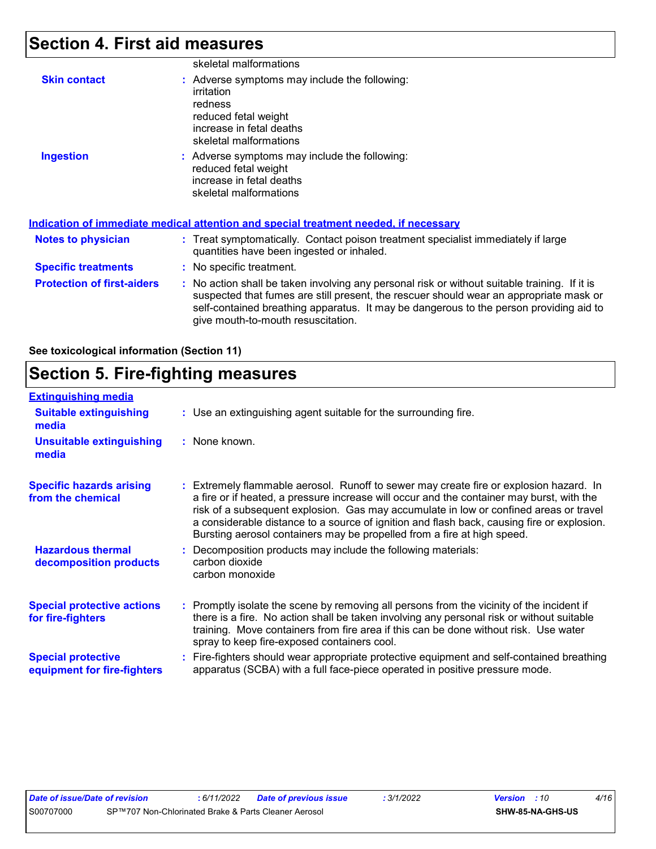### **Section 4. First aid measures**

|                                   | skeletal malformations                                                                                                                                                                                                                                                                                                  |
|-----------------------------------|-------------------------------------------------------------------------------------------------------------------------------------------------------------------------------------------------------------------------------------------------------------------------------------------------------------------------|
| <b>Skin contact</b>               | : Adverse symptoms may include the following:<br>irritation<br>redness<br>reduced fetal weight<br>increase in fetal deaths<br>skeletal malformations                                                                                                                                                                    |
| <b>Ingestion</b>                  | : Adverse symptoms may include the following:<br>reduced fetal weight<br>increase in fetal deaths<br>skeletal malformations                                                                                                                                                                                             |
|                                   | Indication of immediate medical attention and special treatment needed, if necessary                                                                                                                                                                                                                                    |
| <b>Notes to physician</b>         | : Treat symptomatically. Contact poison treatment specialist immediately if large<br>quantities have been ingested or inhaled.                                                                                                                                                                                          |
| <b>Specific treatments</b>        | : No specific treatment.                                                                                                                                                                                                                                                                                                |
| <b>Protection of first-aiders</b> | : No action shall be taken involving any personal risk or without suitable training. If it is<br>suspected that fumes are still present, the rescuer should wear an appropriate mask or<br>self-contained breathing apparatus. It may be dangerous to the person providing aid to<br>give mouth-to-mouth resuscitation. |

**See toxicological information (Section 11)**

### **Section 5. Fire-fighting measures**

| <b>Extinguishing media</b>                               |                                                                                                                                                                                                                                                                                                                                                                                                                                                       |
|----------------------------------------------------------|-------------------------------------------------------------------------------------------------------------------------------------------------------------------------------------------------------------------------------------------------------------------------------------------------------------------------------------------------------------------------------------------------------------------------------------------------------|
| <b>Suitable extinguishing</b><br>media                   | : Use an extinguishing agent suitable for the surrounding fire.                                                                                                                                                                                                                                                                                                                                                                                       |
| <b>Unsuitable extinguishing</b><br>media                 | : None known.                                                                                                                                                                                                                                                                                                                                                                                                                                         |
| <b>Specific hazards arising</b><br>from the chemical     | : Extremely flammable aerosol. Runoff to sewer may create fire or explosion hazard. In<br>a fire or if heated, a pressure increase will occur and the container may burst, with the<br>risk of a subsequent explosion. Gas may accumulate in low or confined areas or travel<br>a considerable distance to a source of ignition and flash back, causing fire or explosion.<br>Bursting aerosol containers may be propelled from a fire at high speed. |
| <b>Hazardous thermal</b><br>decomposition products       | Decomposition products may include the following materials:<br>carbon dioxide<br>carbon monoxide                                                                                                                                                                                                                                                                                                                                                      |
| <b>Special protective actions</b><br>for fire-fighters   | : Promptly isolate the scene by removing all persons from the vicinity of the incident if<br>there is a fire. No action shall be taken involving any personal risk or without suitable<br>training. Move containers from fire area if this can be done without risk. Use water<br>spray to keep fire-exposed containers cool.                                                                                                                         |
| <b>Special protective</b><br>equipment for fire-fighters | : Fire-fighters should wear appropriate protective equipment and self-contained breathing<br>apparatus (SCBA) with a full face-piece operated in positive pressure mode.                                                                                                                                                                                                                                                                              |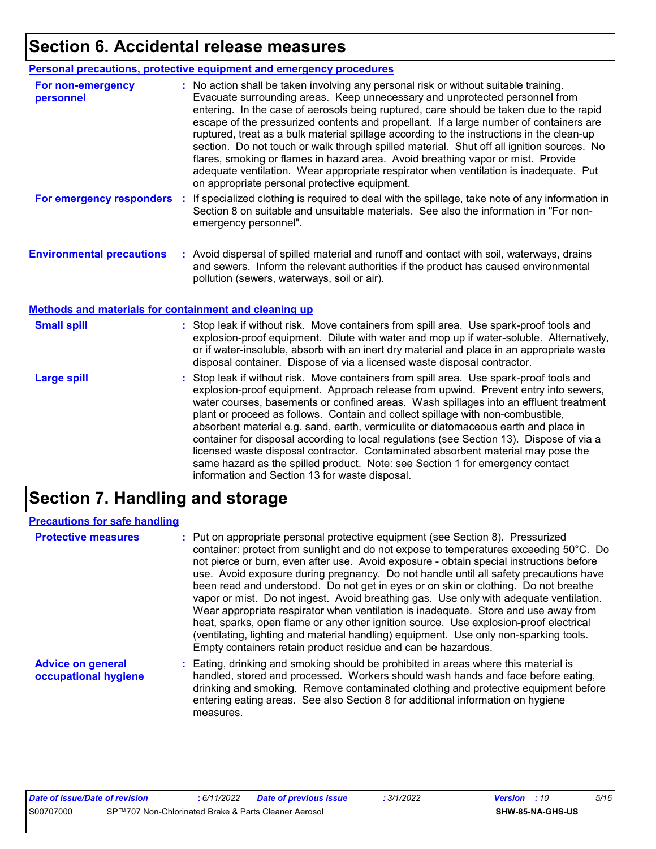### **Section 6. Accidental release measures**

|                                                       | <b>Personal precautions, protective equipment and emergency procedures</b>                                                                                                                                                                                                                                                                                                                                                                                                                                                                                                                                                                                                                                                                                                       |  |  |
|-------------------------------------------------------|----------------------------------------------------------------------------------------------------------------------------------------------------------------------------------------------------------------------------------------------------------------------------------------------------------------------------------------------------------------------------------------------------------------------------------------------------------------------------------------------------------------------------------------------------------------------------------------------------------------------------------------------------------------------------------------------------------------------------------------------------------------------------------|--|--|
| For non-emergency<br>personnel                        | : No action shall be taken involving any personal risk or without suitable training.<br>Evacuate surrounding areas. Keep unnecessary and unprotected personnel from<br>entering. In the case of aerosols being ruptured, care should be taken due to the rapid<br>escape of the pressurized contents and propellant. If a large number of containers are<br>ruptured, treat as a bulk material spillage according to the instructions in the clean-up<br>section. Do not touch or walk through spilled material. Shut off all ignition sources. No<br>flares, smoking or flames in hazard area. Avoid breathing vapor or mist. Provide<br>adequate ventilation. Wear appropriate respirator when ventilation is inadequate. Put<br>on appropriate personal protective equipment. |  |  |
| For emergency responders                              | : If specialized clothing is required to deal with the spillage, take note of any information in<br>Section 8 on suitable and unsuitable materials. See also the information in "For non-<br>emergency personnel".                                                                                                                                                                                                                                                                                                                                                                                                                                                                                                                                                               |  |  |
| <b>Environmental precautions</b>                      | : Avoid dispersal of spilled material and runoff and contact with soil, waterways, drains<br>and sewers. Inform the relevant authorities if the product has caused environmental<br>pollution (sewers, waterways, soil or air).                                                                                                                                                                                                                                                                                                                                                                                                                                                                                                                                                  |  |  |
| Methods and materials for containment and cleaning up |                                                                                                                                                                                                                                                                                                                                                                                                                                                                                                                                                                                                                                                                                                                                                                                  |  |  |
| <b>Small spill</b>                                    | : Stop leak if without risk. Move containers from spill area. Use spark-proof tools and<br>explosion-proof equipment. Dilute with water and mop up if water-soluble. Alternatively,<br>or if water-insoluble, absorb with an inert dry material and place in an appropriate waste<br>disposal container. Dispose of via a licensed waste disposal contractor.                                                                                                                                                                                                                                                                                                                                                                                                                    |  |  |
| <b>Large spill</b>                                    | : Stop leak if without risk. Move containers from spill area. Use spark-proof tools and<br>explosion-proof equipment. Approach release from upwind. Prevent entry into sewers,<br>water courses, basements or confined areas. Wash spillages into an effluent treatment<br>plant or proceed as follows. Contain and collect spillage with non-combustible,<br>absorbent material e.g. sand, earth, vermiculite or diatomaceous earth and place in<br>container for disposal according to local regulations (see Section 13). Dispose of via a<br>licensed waste disposal contractor. Contaminated absorbent material may pose the<br>same hazard as the spilled product. Note: see Section 1 for emergency contact<br>information and Section 13 for waste disposal.             |  |  |

### **Section 7. Handling and storage**

### **Precautions for safe handling**

| <b>Protective measures</b>                       | : Put on appropriate personal protective equipment (see Section 8). Pressurized<br>container: protect from sunlight and do not expose to temperatures exceeding 50°C. Do<br>not pierce or burn, even after use. Avoid exposure - obtain special instructions before<br>use. Avoid exposure during pregnancy. Do not handle until all safety precautions have<br>been read and understood. Do not get in eyes or on skin or clothing. Do not breathe<br>vapor or mist. Do not ingest. Avoid breathing gas. Use only with adequate ventilation.<br>Wear appropriate respirator when ventilation is inadequate. Store and use away from<br>heat, sparks, open flame or any other ignition source. Use explosion-proof electrical<br>(ventilating, lighting and material handling) equipment. Use only non-sparking tools.<br>Empty containers retain product residue and can be hazardous. |
|--------------------------------------------------|-----------------------------------------------------------------------------------------------------------------------------------------------------------------------------------------------------------------------------------------------------------------------------------------------------------------------------------------------------------------------------------------------------------------------------------------------------------------------------------------------------------------------------------------------------------------------------------------------------------------------------------------------------------------------------------------------------------------------------------------------------------------------------------------------------------------------------------------------------------------------------------------|
| <b>Advice on general</b><br>occupational hygiene | : Eating, drinking and smoking should be prohibited in areas where this material is<br>handled, stored and processed. Workers should wash hands and face before eating,<br>drinking and smoking. Remove contaminated clothing and protective equipment before<br>entering eating areas. See also Section 8 for additional information on hygiene<br>measures.                                                                                                                                                                                                                                                                                                                                                                                                                                                                                                                           |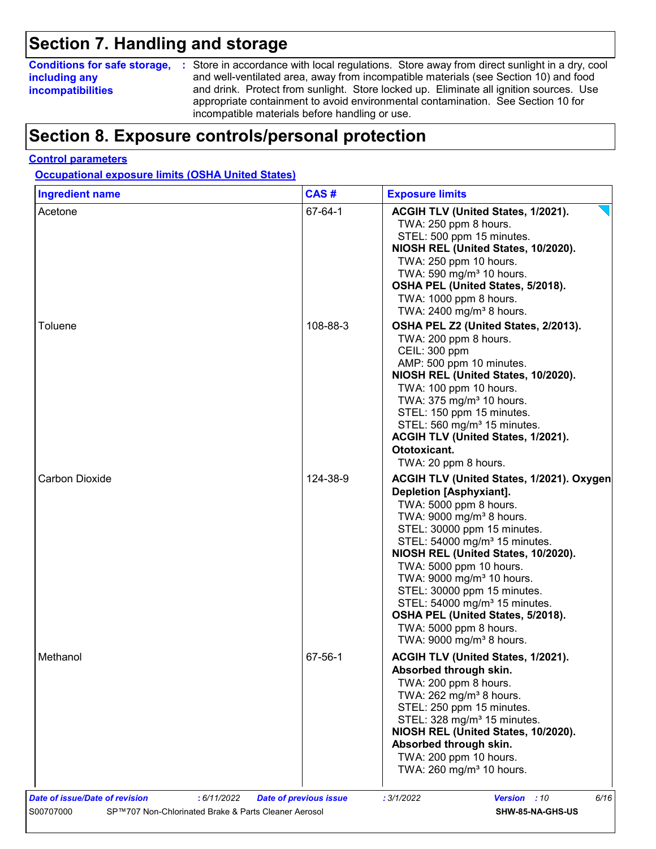### **Section 7. Handling and storage**

### **including any incompatibilities**

**Conditions for safe storage,** : Store in accordance with local regulations. Store away from direct sunlight in a dry, cool and well-ventilated area, away from incompatible materials (see Section 10) and food and drink. Protect from sunlight. Store locked up. Eliminate all ignition sources. Use appropriate containment to avoid environmental contamination. See Section 10 for incompatible materials before handling or use.

### **Section 8. Exposure controls/personal protection**

#### **Control parameters**

**Occupational exposure limits (OSHA United States)**

| <b>Ingredient name</b> | CAS#     | <b>Exposure limits</b>                                                                                                                                                                                                                                                                                                                                                                                                                                                                                           |
|------------------------|----------|------------------------------------------------------------------------------------------------------------------------------------------------------------------------------------------------------------------------------------------------------------------------------------------------------------------------------------------------------------------------------------------------------------------------------------------------------------------------------------------------------------------|
| Acetone                | 67-64-1  | ACGIH TLV (United States, 1/2021).<br>TWA: 250 ppm 8 hours.<br>STEL: 500 ppm 15 minutes.<br>NIOSH REL (United States, 10/2020).<br>TWA: 250 ppm 10 hours.<br>TWA: 590 mg/m <sup>3</sup> 10 hours.<br>OSHA PEL (United States, 5/2018).<br>TWA: 1000 ppm 8 hours.<br>TWA: 2400 mg/m <sup>3</sup> 8 hours.                                                                                                                                                                                                         |
| Toluene                | 108-88-3 | OSHA PEL Z2 (United States, 2/2013).<br>TWA: 200 ppm 8 hours.<br>CEIL: 300 ppm<br>AMP: 500 ppm 10 minutes.<br>NIOSH REL (United States, 10/2020).<br>TWA: 100 ppm 10 hours.<br>TWA: 375 mg/m <sup>3</sup> 10 hours.<br>STEL: 150 ppm 15 minutes.<br>STEL: 560 mg/m <sup>3</sup> 15 minutes.<br>ACGIH TLV (United States, 1/2021).<br>Ototoxicant.<br>TWA: 20 ppm 8 hours.                                                                                                                                        |
| Carbon Dioxide         | 124-38-9 | ACGIH TLV (United States, 1/2021). Oxygen<br>Depletion [Asphyxiant].<br>TWA: 5000 ppm 8 hours.<br>TWA: 9000 mg/m <sup>3</sup> 8 hours.<br>STEL: 30000 ppm 15 minutes.<br>STEL: 54000 mg/m <sup>3</sup> 15 minutes.<br>NIOSH REL (United States, 10/2020).<br>TWA: 5000 ppm 10 hours.<br>TWA: 9000 mg/m <sup>3</sup> 10 hours.<br>STEL: 30000 ppm 15 minutes.<br>STEL: 54000 mg/m <sup>3</sup> 15 minutes.<br>OSHA PEL (United States, 5/2018).<br>TWA: 5000 ppm 8 hours.<br>TWA: 9000 mg/m <sup>3</sup> 8 hours. |
| Methanol               | 67-56-1  | ACGIH TLV (United States, 1/2021).<br>Absorbed through skin.<br>TWA: 200 ppm 8 hours.<br>TWA: 262 mg/m <sup>3</sup> 8 hours.<br>STEL: 250 ppm 15 minutes.<br>STEL: 328 mg/m <sup>3</sup> 15 minutes.<br>NIOSH REL (United States, 10/2020).<br>Absorbed through skin.<br>TWA: 200 ppm 10 hours.<br>TWA: 260 mg/m <sup>3</sup> 10 hours.                                                                                                                                                                          |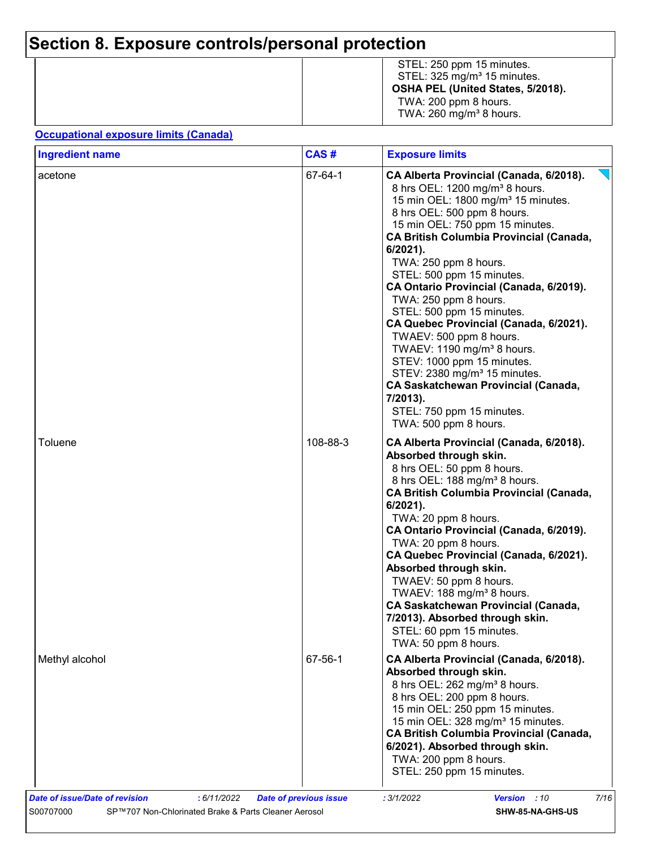## **Section 8. Exposure controls/personal protection**

|  | STEL: 250 ppm 15 minutes.<br>STEL: 325 mg/m <sup>3</sup> 15 minutes.<br>OSHA PEL (United States, 5/2018).<br>TWA: 200 ppm 8 hours.<br>TWA: $260 \text{ mg/m}^3$ 8 hours. |
|--|--------------------------------------------------------------------------------------------------------------------------------------------------------------------------|
|--|--------------------------------------------------------------------------------------------------------------------------------------------------------------------------|

#### **Occupational exposure limits (Canada)**

| <b>Ingredient name</b> | CAS#     | <b>Exposure limits</b>                                                                                                                                                                                                                                                                                                                                                                                                                                                                                                                                                                                                                                                                                                                     |
|------------------------|----------|--------------------------------------------------------------------------------------------------------------------------------------------------------------------------------------------------------------------------------------------------------------------------------------------------------------------------------------------------------------------------------------------------------------------------------------------------------------------------------------------------------------------------------------------------------------------------------------------------------------------------------------------------------------------------------------------------------------------------------------------|
| acetone                | 67-64-1  | CA Alberta Provincial (Canada, 6/2018).<br>8 hrs OEL: 1200 mg/m <sup>3</sup> 8 hours.<br>15 min OEL: 1800 mg/m <sup>3</sup> 15 minutes.<br>8 hrs OEL: 500 ppm 8 hours.<br>15 min OEL: 750 ppm 15 minutes.<br><b>CA British Columbia Provincial (Canada,</b><br>$6/2021$ ).<br>TWA: 250 ppm 8 hours.<br>STEL: 500 ppm 15 minutes.<br>CA Ontario Provincial (Canada, 6/2019).<br>TWA: 250 ppm 8 hours.<br>STEL: 500 ppm 15 minutes.<br>CA Quebec Provincial (Canada, 6/2021).<br>TWAEV: 500 ppm 8 hours.<br>TWAEV: 1190 mg/m <sup>3</sup> 8 hours.<br>STEV: 1000 ppm 15 minutes.<br>STEV: 2380 mg/m <sup>3</sup> 15 minutes.<br><b>CA Saskatchewan Provincial (Canada,</b><br>7/2013).<br>STEL: 750 ppm 15 minutes.<br>TWA: 500 ppm 8 hours. |
| Toluene                | 108-88-3 | CA Alberta Provincial (Canada, 6/2018).<br>Absorbed through skin.<br>8 hrs OEL: 50 ppm 8 hours.<br>8 hrs OEL: 188 mg/m <sup>3</sup> 8 hours.<br><b>CA British Columbia Provincial (Canada,</b><br>6/2021).<br>TWA: 20 ppm 8 hours.<br>CA Ontario Provincial (Canada, 6/2019).<br>TWA: 20 ppm 8 hours.<br>CA Quebec Provincial (Canada, 6/2021).<br>Absorbed through skin.<br>TWAEV: 50 ppm 8 hours.<br>TWAEV: 188 mg/m <sup>3</sup> 8 hours.<br><b>CA Saskatchewan Provincial (Canada,</b><br>7/2013). Absorbed through skin.<br>STEL: 60 ppm 15 minutes.<br>TWA: 50 ppm 8 hours.                                                                                                                                                          |
| Methyl alcohol         | 67-56-1  | CA Alberta Provincial (Canada, 6/2018).<br>Absorbed through skin.<br>8 hrs OEL: 262 mg/m <sup>3</sup> 8 hours.<br>8 hrs OEL: 200 ppm 8 hours.<br>15 min OEL: 250 ppm 15 minutes.<br>15 min OEL: 328 mg/m <sup>3</sup> 15 minutes.<br><b>CA British Columbia Provincial (Canada,</b><br>6/2021). Absorbed through skin.<br>TWA: 200 ppm 8 hours.<br>STEL: 250 ppm 15 minutes.                                                                                                                                                                                                                                                                                                                                                               |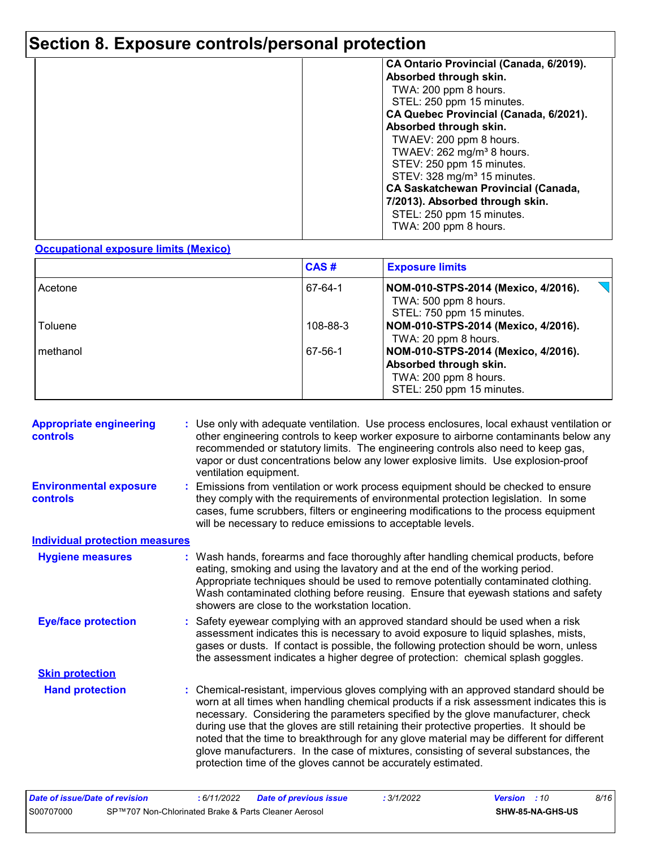### **Section 8. Exposure controls/personal protection**

| CA Ontario Provincial (Canada, 6/2019).<br>Absorbed through skin.                                                                                                                                                                                                                                           |
|-------------------------------------------------------------------------------------------------------------------------------------------------------------------------------------------------------------------------------------------------------------------------------------------------------------|
| TWA: 200 ppm 8 hours.<br>STEL: 250 ppm 15 minutes.<br>CA Quebec Provincial (Canada, 6/2021).                                                                                                                                                                                                                |
| Absorbed through skin.<br>TWAEV: 200 ppm 8 hours.<br>TWAEV: $262$ mg/m <sup>3</sup> 8 hours.<br>STEV: 250 ppm 15 minutes.<br>STEV: 328 mg/m <sup>3</sup> 15 minutes.<br><b>CA Saskatchewan Provincial (Canada,</b><br>7/2013). Absorbed through skin.<br>STEL: 250 ppm 15 minutes.<br>TWA: 200 ppm 8 hours. |

#### **Occupational exposure limits (Mexico)**

|          | CAS#     | <b>Exposure limits</b>                                                                                              |
|----------|----------|---------------------------------------------------------------------------------------------------------------------|
| Acetone  | 67-64-1  | NOM-010-STPS-2014 (Mexico, 4/2016).<br>TWA: 500 ppm 8 hours.<br>STEL: 750 ppm 15 minutes.                           |
| Toluene  | 108-88-3 | NOM-010-STPS-2014 (Mexico, 4/2016).<br>TWA: 20 ppm 8 hours.                                                         |
| methanol | 67-56-1  | NOM-010-STPS-2014 (Mexico, 4/2016).<br>Absorbed through skin.<br>TWA: 200 ppm 8 hours.<br>STEL: 250 ppm 15 minutes. |

|                                       | : Use only with adequate ventilation. Use process enclosures, local exhaust ventilation or<br>other engineering controls to keep worker exposure to airborne contaminants below any<br>recommended or statutory limits. The engineering controls also need to keep gas,<br>vapor or dust concentrations below any lower explosive limits. Use explosion-proof<br>ventilation equipment.                                                                                                                                                                                                                                |
|---------------------------------------|------------------------------------------------------------------------------------------------------------------------------------------------------------------------------------------------------------------------------------------------------------------------------------------------------------------------------------------------------------------------------------------------------------------------------------------------------------------------------------------------------------------------------------------------------------------------------------------------------------------------|
|                                       | Emissions from ventilation or work process equipment should be checked to ensure<br>they comply with the requirements of environmental protection legislation. In some<br>cases, fume scrubbers, filters or engineering modifications to the process equipment<br>will be necessary to reduce emissions to acceptable levels.                                                                                                                                                                                                                                                                                          |
| <b>Individual protection measures</b> |                                                                                                                                                                                                                                                                                                                                                                                                                                                                                                                                                                                                                        |
|                                       | : Wash hands, forearms and face thoroughly after handling chemical products, before<br>eating, smoking and using the lavatory and at the end of the working period.<br>Appropriate techniques should be used to remove potentially contaminated clothing.<br>Wash contaminated clothing before reusing. Ensure that eyewash stations and safety<br>showers are close to the workstation location.                                                                                                                                                                                                                      |
|                                       | : Safety eyewear complying with an approved standard should be used when a risk<br>assessment indicates this is necessary to avoid exposure to liquid splashes, mists,<br>gases or dusts. If contact is possible, the following protection should be worn, unless<br>the assessment indicates a higher degree of protection: chemical splash goggles.                                                                                                                                                                                                                                                                  |
|                                       |                                                                                                                                                                                                                                                                                                                                                                                                                                                                                                                                                                                                                        |
|                                       | : Chemical-resistant, impervious gloves complying with an approved standard should be<br>worn at all times when handling chemical products if a risk assessment indicates this is<br>necessary. Considering the parameters specified by the glove manufacturer, check<br>during use that the gloves are still retaining their protective properties. It should be<br>noted that the time to breakthrough for any glove material may be different for different<br>glove manufacturers. In the case of mixtures, consisting of several substances, the<br>protection time of the gloves cannot be accurately estimated. |
|                                       |                                                                                                                                                                                                                                                                                                                                                                                                                                                                                                                                                                                                                        |

| Date of issue/Date of revision |                                                      | : 6/11/2022 | <b>Date of previous issue</b> | : 3/1/2022 | <b>Version</b> : 10 |                  | 8/16 |
|--------------------------------|------------------------------------------------------|-------------|-------------------------------|------------|---------------------|------------------|------|
| S00707000                      | SP™707 Non-Chlorinated Brake & Parts Cleaner Aerosol |             |                               |            |                     | SHW-85-NA-GHS-US |      |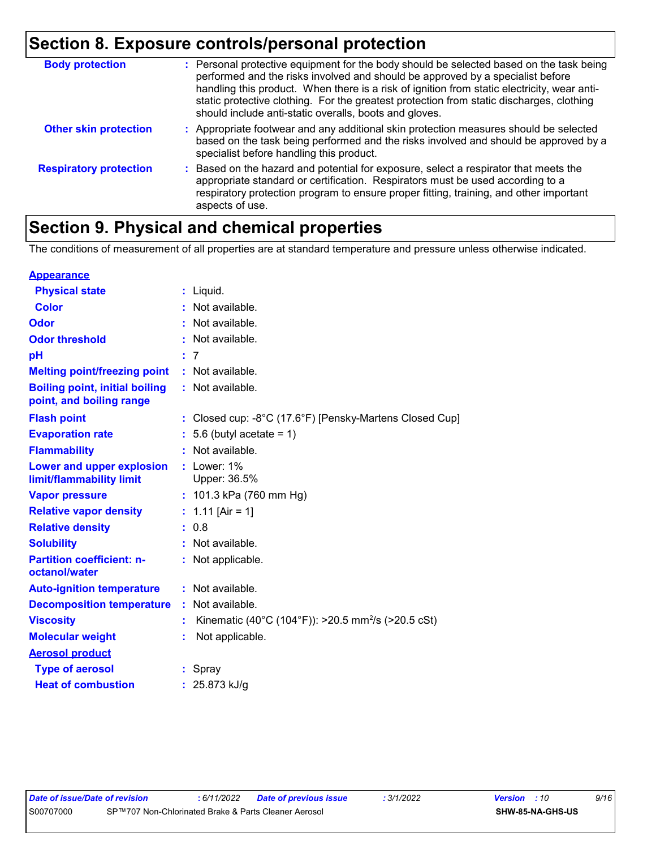### **Section 8. Exposure controls/personal protection**

| <b>Body protection</b>        | : Personal protective equipment for the body should be selected based on the task being<br>performed and the risks involved and should be approved by a specialist before<br>handling this product. When there is a risk of ignition from static electricity, wear anti-<br>static protective clothing. For the greatest protection from static discharges, clothing<br>should include anti-static overalls, boots and gloves. |
|-------------------------------|--------------------------------------------------------------------------------------------------------------------------------------------------------------------------------------------------------------------------------------------------------------------------------------------------------------------------------------------------------------------------------------------------------------------------------|
| <b>Other skin protection</b>  | : Appropriate footwear and any additional skin protection measures should be selected<br>based on the task being performed and the risks involved and should be approved by a<br>specialist before handling this product.                                                                                                                                                                                                      |
| <b>Respiratory protection</b> | : Based on the hazard and potential for exposure, select a respirator that meets the<br>appropriate standard or certification. Respirators must be used according to a<br>respiratory protection program to ensure proper fitting, training, and other important<br>aspects of use.                                                                                                                                            |

### **Section 9. Physical and chemical properties**

The conditions of measurement of all properties are at standard temperature and pressure unless otherwise indicated.

| <b>Appearance</b>                                                 |                                                                |
|-------------------------------------------------------------------|----------------------------------------------------------------|
| <b>Physical state</b>                                             | $:$ Liquid.                                                    |
| <b>Color</b>                                                      | : Not available.                                               |
| Odor                                                              | : Not available.                                               |
| <b>Odor threshold</b>                                             | Not available.                                                 |
| рH                                                                | -7                                                             |
| <b>Melting point/freezing point</b>                               | : Not available.                                               |
| <b>Boiling point, initial boiling</b><br>point, and boiling range | : Not available.                                               |
| <b>Flash point</b>                                                | Closed cup: -8°C (17.6°F) [Pensky-Martens Closed Cup]          |
| <b>Evaporation rate</b>                                           | $: 5.6$ (butyl acetate = 1)                                    |
| <b>Flammability</b>                                               | Not available.                                                 |
| Lower and upper explosion<br>limit/flammability limit             | : Lower: $1\%$<br>Upper: 36.5%                                 |
| <b>Vapor pressure</b>                                             | : 101.3 kPa (760 mm Hg)                                        |
| <b>Relative vapor density</b>                                     | : $1.11$ [Air = 1]                                             |
| <b>Relative density</b>                                           | : 0.8                                                          |
| <b>Solubility</b>                                                 | : Not available.                                               |
| <b>Partition coefficient: n-</b><br>octanol/water                 | : Not applicable.                                              |
| <b>Auto-ignition temperature</b>                                  | : Not available.                                               |
| <b>Decomposition temperature</b>                                  | : Not available.                                               |
| <b>Viscosity</b>                                                  | Kinematic (40°C (104°F)): >20.5 mm <sup>2</sup> /s (>20.5 cSt) |
| <b>Molecular weight</b>                                           | Not applicable.                                                |
| <b>Aerosol product</b>                                            |                                                                |
| <b>Type of aerosol</b>                                            | Spray                                                          |
| <b>Heat of combustion</b>                                         | 25.873 kJ/g                                                    |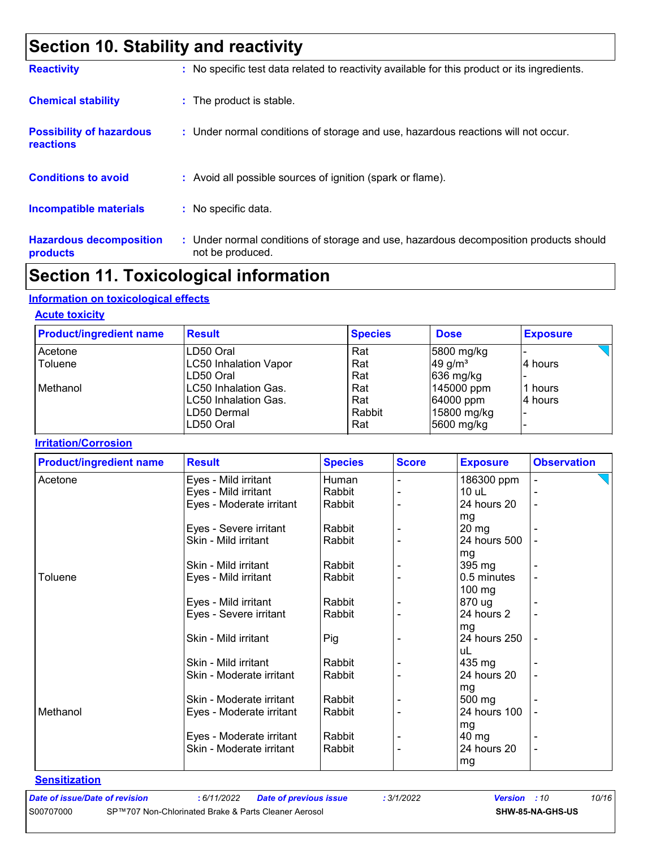### **Section 10. Stability and reactivity**

| <b>Reactivity</b>                            | : No specific test data related to reactivity available for this product or its ingredients.              |
|----------------------------------------------|-----------------------------------------------------------------------------------------------------------|
| <b>Chemical stability</b>                    | : The product is stable.                                                                                  |
| <b>Possibility of hazardous</b><br>reactions | : Under normal conditions of storage and use, hazardous reactions will not occur.                         |
| <b>Conditions to avoid</b>                   | : Avoid all possible sources of ignition (spark or flame).                                                |
| <b>Incompatible materials</b>                | : No specific data.                                                                                       |
| <b>Hazardous decomposition</b><br>products   | : Under normal conditions of storage and use, hazardous decomposition products should<br>not be produced. |

### **Section 11. Toxicological information**

#### **Information on toxicological effects**

#### **Acute toxicity**

| <b>Product/ingredient name</b> | <b>Result</b>                | <b>Species</b> | <b>Dose</b>           | <b>Exposure</b> |
|--------------------------------|------------------------------|----------------|-----------------------|-----------------|
| Acetone                        | ILD50 Oral                   | Rat            | 5800 mg/kg            |                 |
| Toluene                        | <b>LC50 Inhalation Vapor</b> | Rat            | $49$ g/m <sup>3</sup> | ⊺4 hours        |
|                                | LD50 Oral                    | Rat            | $636$ mg/kg           |                 |
| l Methanol                     | LC50 Inhalation Gas.         | Rat            | 145000 ppm            | l1 hours        |
|                                | LC50 Inhalation Gas.         | Rat            | 64000 ppm             | 4 hours         |
|                                | ILD50 Dermal                 | Rabbit         | 15800 mg/kg           |                 |
|                                | LD50 Oral                    | Rat            | 5600 mg/kg            |                 |

#### **Irritation/Corrosion**

| <b>Product/ingredient name</b> | <b>Result</b>            | <b>Species</b> | <b>Score</b> | <b>Exposure</b> | <b>Observation</b>       |  |  |
|--------------------------------|--------------------------|----------------|--------------|-----------------|--------------------------|--|--|
| Acetone                        | Eyes - Mild irritant     | Human          |              | 186300 ppm      |                          |  |  |
|                                | Eyes - Mild irritant     | Rabbit         |              | $10$ uL         |                          |  |  |
|                                | Eyes - Moderate irritant | Rabbit         |              | 24 hours 20     | $\overline{\phantom{a}}$ |  |  |
|                                |                          |                |              | mg              |                          |  |  |
|                                | Eyes - Severe irritant   | Rabbit         |              | $20 \, mg$      |                          |  |  |
|                                | Skin - Mild irritant     | Rabbit         |              | 24 hours 500    |                          |  |  |
|                                |                          |                |              | mg              |                          |  |  |
|                                | Skin - Mild irritant     | Rabbit         |              | 395 mg          |                          |  |  |
| Toluene                        | Eyes - Mild irritant     | Rabbit         |              | 0.5 minutes     |                          |  |  |
|                                |                          |                |              | 100 mg          |                          |  |  |
|                                | Eyes - Mild irritant     | Rabbit         |              | 870 ug          |                          |  |  |
|                                | Eyes - Severe irritant   | Rabbit         |              | 24 hours 2      |                          |  |  |
|                                |                          |                |              | mg              |                          |  |  |
|                                | Skin - Mild irritant     | Pig            |              | 24 hours 250    |                          |  |  |
|                                |                          |                |              | uL              |                          |  |  |
|                                | Skin - Mild irritant     | Rabbit         |              | 435 mg          |                          |  |  |
|                                | Skin - Moderate irritant | Rabbit         |              | 24 hours 20     |                          |  |  |
|                                |                          |                |              | mg              |                          |  |  |
|                                | Skin - Moderate irritant | Rabbit         |              | 500 mg          |                          |  |  |
| Methanol                       | Eyes - Moderate irritant | Rabbit         |              | 24 hours 100    |                          |  |  |
|                                |                          |                |              | mg              |                          |  |  |
|                                | Eyes - Moderate irritant | Rabbit         |              | $40 \text{ mg}$ |                          |  |  |
|                                | Skin - Moderate irritant | Rabbit         |              | 24 hours 20     |                          |  |  |
|                                |                          |                |              | mg              |                          |  |  |

**Sensitization**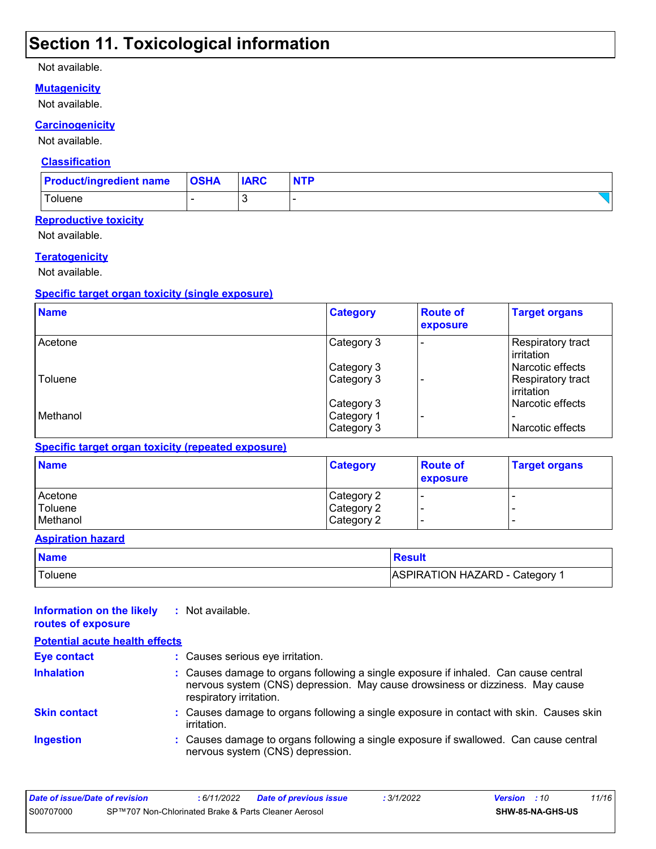### **Section 11. Toxicological information**

#### Not available.

#### **Mutagenicity**

Not available.

#### **Carcinogenicity**

Not available.

#### **Classification**

| <b>Product/ingredient name</b> | <b>OSHA</b> | <b>IARC</b> | <b>NTP</b> |
|--------------------------------|-------------|-------------|------------|
| Toluene                        |             | $\cdot$     |            |

#### **Reproductive toxicity**

Not available.

#### **Teratogenicity**

Not available.

#### **Specific target organ toxicity (single exposure)**

| <b>Name</b> | <b>Category</b> | <b>Route of</b><br>exposure | <b>Target organs</b>                    |
|-------------|-----------------|-----------------------------|-----------------------------------------|
| Acetone     | Category 3      |                             | Respiratory tract<br>l irritation       |
|             | Category 3      |                             | l Narcotic effects                      |
| Toluene     | Category 3      |                             | Respiratory tract<br><b>lirritation</b> |
|             | Category 3      |                             | Narcotic effects                        |
| Methanol    | Category 1      |                             | $\overline{\phantom{0}}$                |
|             | Category 3      |                             | Narcotic effects                        |

#### **Specific target organ toxicity (repeated exposure)**

| <b>Name</b> | <b>Category</b> | <b>Route of</b><br><b>exposure</b> | <b>Target organs</b> |
|-------------|-----------------|------------------------------------|----------------------|
| Acetone     | Category 2      |                                    |                      |
| Toluene     | Category 2      |                                    |                      |
| Methanol    | Category 2      |                                    |                      |

#### **Aspiration hazard**

| <b>Name</b> | <b>Result</b>                  |
|-------------|--------------------------------|
| Toluene     | ASPIRATION HAZARD - Category 1 |

| Information on the likely<br>routes of exposure | : Not available.                                                                                                                                                                                |  |
|-------------------------------------------------|-------------------------------------------------------------------------------------------------------------------------------------------------------------------------------------------------|--|
| <b>Potential acute health effects</b>           |                                                                                                                                                                                                 |  |
| Eye contact                                     | : Causes serious eye irritation.                                                                                                                                                                |  |
| <b>Inhalation</b>                               | : Causes damage to organs following a single exposure if inhaled. Can cause central<br>nervous system (CNS) depression. May cause drowsiness or dizziness. May cause<br>respiratory irritation. |  |
| <b>Skin contact</b>                             | : Causes damage to organs following a single exposure in contact with skin. Causes skin<br>irritation.                                                                                          |  |
| <b>Ingestion</b>                                | : Causes damage to organs following a single exposure if swallowed. Can cause central<br>nervous system (CNS) depression.                                                                       |  |

| Date of issue/Date of revision |                                                      | : 6/11/2022 | Date of previous issue | : 3/1/2022 | <b>Version</b> : 10 |                         | 11/16 |
|--------------------------------|------------------------------------------------------|-------------|------------------------|------------|---------------------|-------------------------|-------|
| S00707000                      | SP™707 Non-Chlorinated Brake & Parts Cleaner Aerosol |             |                        |            |                     | <b>SHW-85-NA-GHS-US</b> |       |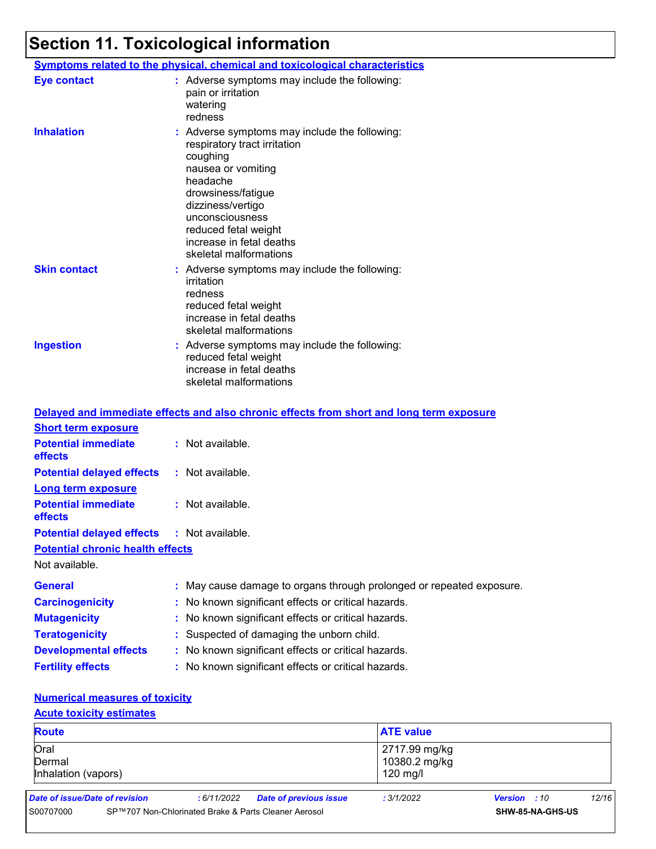### **Section 11. Toxicological information**

|                     | <b>Symptoms related to the physical, chemical and toxicological characteristics</b>                                                                                                                                                                                     |
|---------------------|-------------------------------------------------------------------------------------------------------------------------------------------------------------------------------------------------------------------------------------------------------------------------|
| Eye contact         | : Adverse symptoms may include the following:<br>pain or irritation<br>watering<br>redness                                                                                                                                                                              |
| <b>Inhalation</b>   | : Adverse symptoms may include the following:<br>respiratory tract irritation<br>coughing<br>nausea or vomiting<br>headache<br>drowsiness/fatigue<br>dizziness/vertigo<br>unconsciousness<br>reduced fetal weight<br>increase in fetal deaths<br>skeletal malformations |
| <b>Skin contact</b> | : Adverse symptoms may include the following:<br>irritation<br>redness<br>reduced fetal weight<br>increase in fetal deaths<br>skeletal malformations                                                                                                                    |
| <b>Ingestion</b>    | : Adverse symptoms may include the following:<br>reduced fetal weight<br>increase in fetal deaths<br>skeletal malformations                                                                                                                                             |

|                                                   | Delayed and immediate effects and also chronic effects from short and long term exposure |
|---------------------------------------------------|------------------------------------------------------------------------------------------|
| <b>Short term exposure</b>                        |                                                                                          |
| <b>Potential immediate</b><br><b>effects</b>      | $:$ Not available.                                                                       |
| <b>Potential delayed effects</b>                  | : Not available.                                                                         |
| <b>Long term exposure</b>                         |                                                                                          |
| <b>Potential immediate</b><br><b>effects</b>      | : Not available.                                                                         |
| <b>Potential delayed effects : Not available.</b> |                                                                                          |
| <b>Potential chronic health effects</b>           |                                                                                          |
| Not available.                                    |                                                                                          |
| <b>General</b>                                    | : May cause damage to organs through prolonged or repeated exposure.                     |
| <b>Carcinogenicity</b>                            | : No known significant effects or critical hazards.                                      |
| <b>Mutagenicity</b>                               | : No known significant effects or critical hazards.                                      |
| <b>Teratogenicity</b>                             | : Suspected of damaging the unborn child.                                                |
| <b>Developmental effects</b>                      | : No known significant effects or critical hazards.                                      |
| <b>Fertility effects</b>                          | : No known significant effects or critical hazards.                                      |

#### **Numerical measures of toxicity**

#### **Acute toxicity estimates**

| <b>Route</b>                          |                                |             | <b>ATE value</b>                                     |                                              |                     |                  |       |
|---------------------------------------|--------------------------------|-------------|------------------------------------------------------|----------------------------------------------|---------------------|------------------|-------|
| Oral<br>Dermal<br>Inhalation (vapors) |                                |             |                                                      | 2717.99 mg/kg<br>10380.2 mg/kg<br>$120$ mg/l |                     |                  |       |
|                                       | Date of issue/Date of revision | : 6/11/2022 | <b>Date of previous issue</b>                        | : 3/1/2022                                   | <b>Version</b> : 10 |                  | 12/16 |
| S00707000                             |                                |             | SP™707 Non-Chlorinated Brake & Parts Cleaner Aerosol |                                              |                     | SHW-85-NA-GHS-US |       |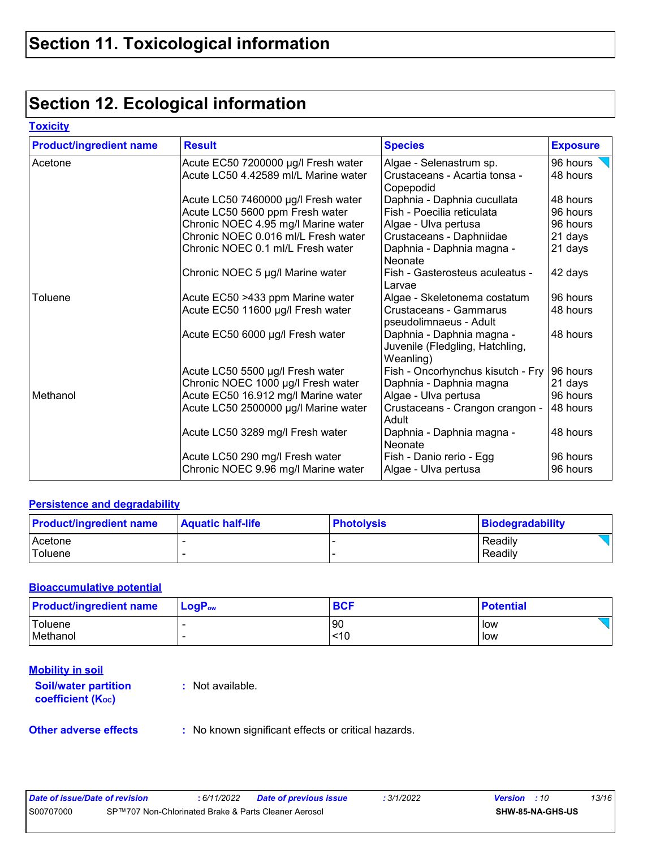### **Section 12. Ecological information**

#### **Toxicity**

| <b>Product/ingredient name</b> | <b>Result</b>                                                          | <b>Species</b>                                                            | <b>Exposure</b>      |  |
|--------------------------------|------------------------------------------------------------------------|---------------------------------------------------------------------------|----------------------|--|
| Acetone                        | Acute EC50 7200000 µg/l Fresh water                                    | Algae - Selenastrum sp.                                                   | 96 hours             |  |
|                                | Acute LC50 4.42589 ml/L Marine water                                   | Crustaceans - Acartia tonsa -<br>Copepodid                                | 48 hours             |  |
|                                | Acute LC50 7460000 µg/l Fresh water                                    | Daphnia - Daphnia cucullata                                               | 48 hours             |  |
|                                | Acute LC50 5600 ppm Fresh water                                        | Fish - Poecilia reticulata                                                | 96 hours             |  |
|                                | Chronic NOEC 4.95 mg/l Marine water                                    | Algae - Ulva pertusa                                                      | 96 hours             |  |
|                                | Chronic NOEC 0.016 ml/L Fresh water                                    | Crustaceans - Daphniidae                                                  | 21 days              |  |
|                                | Chronic NOEC 0.1 ml/L Fresh water                                      | Daphnia - Daphnia magna -<br>Neonate                                      | 21 days              |  |
|                                | Chronic NOEC 5 µg/l Marine water                                       | Fish - Gasterosteus aculeatus -<br>Larvae                                 | 42 days              |  |
| Toluene                        | Acute EC50 >433 ppm Marine water                                       | Algae - Skeletonema costatum                                              | 96 hours             |  |
|                                | Acute EC50 11600 µg/l Fresh water                                      | Crustaceans - Gammarus<br>pseudolimnaeus - Adult                          | 48 hours             |  |
|                                | Acute EC50 6000 µg/l Fresh water                                       | Daphnia - Daphnia magna -<br>Juvenile (Fledgling, Hatchling,<br>Weanling) | 48 hours             |  |
|                                | Acute LC50 5500 µg/l Fresh water                                       | Fish - Oncorhynchus kisutch - Fry                                         | 96 hours             |  |
|                                | Chronic NOEC 1000 µg/l Fresh water                                     | Daphnia - Daphnia magna                                                   | 21 days              |  |
| Methanol                       | Acute EC50 16.912 mg/l Marine water                                    | Algae - Ulva pertusa                                                      | 96 hours             |  |
|                                | Acute LC50 2500000 µg/l Marine water                                   | Crustaceans - Crangon crangon -<br>Adult                                  | 48 hours             |  |
|                                | Acute LC50 3289 mg/l Fresh water                                       | Daphnia - Daphnia magna -<br>Neonate                                      | 48 hours             |  |
|                                | Acute LC50 290 mg/l Fresh water<br>Chronic NOEC 9.96 mg/l Marine water | Fish - Danio rerio - Egg<br>Algae - Ulva pertusa                          | 96 hours<br>96 hours |  |

#### **Persistence and degradability**

| <b>Product/ingredient name</b> | <b>Aquatic half-life</b> | <b>Photolysis</b> | Biodegradability |
|--------------------------------|--------------------------|-------------------|------------------|
| Acetone                        |                          |                   | Readily          |
| Toluene                        |                          |                   | Readily          |

#### **Bioaccumulative potential**

| <b>Product/ingredient name</b> | $\mathsf{LocP}_\mathsf{ow}$ | <b>BCF</b> | <b>Potential</b> |  |
|--------------------------------|-----------------------------|------------|------------------|--|
| Toluene                        |                             | 90         | low              |  |
| Methanol                       |                             | ~10        | low              |  |

### **Mobility in soil**

**Soil/water partition coefficient (Koc)** 

**:** Not available.

**Other adverse effects** : No known significant effects or critical hazards.

| Date of issue/Date of revision |                                                      | : 6/11/2022 | <b>Date of previous issue</b> | : 3/1/2022 | <b>Version</b> : 10 |                         | 13/16 |
|--------------------------------|------------------------------------------------------|-------------|-------------------------------|------------|---------------------|-------------------------|-------|
| S00707000                      | SP™707 Non-Chlorinated Brake & Parts Cleaner Aerosol |             |                               |            |                     | <b>SHW-85-NA-GHS-US</b> |       |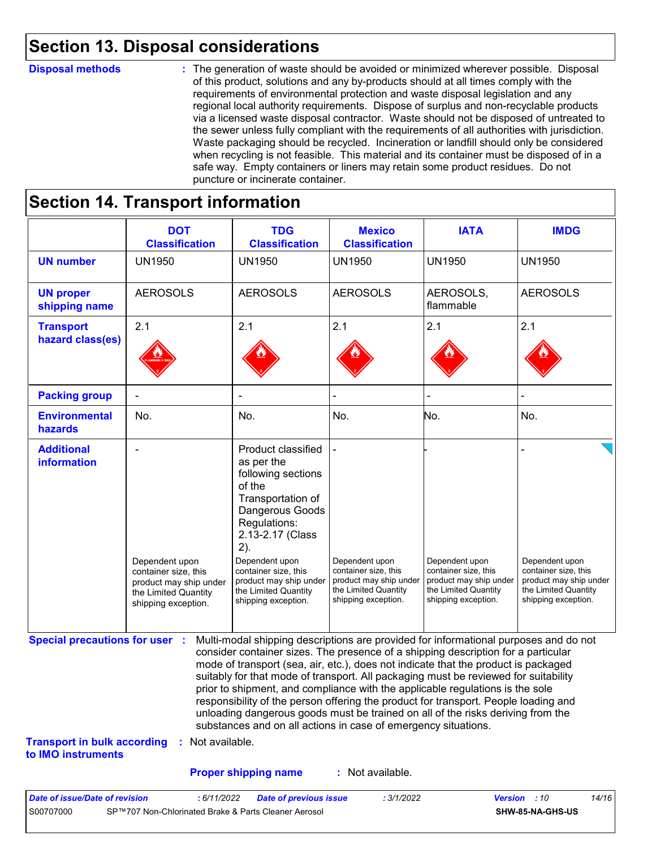### **Section 13. Disposal considerations**

#### **Disposal methods :**

The generation of waste should be avoided or minimized wherever possible. Disposal of this product, solutions and any by-products should at all times comply with the requirements of environmental protection and waste disposal legislation and any regional local authority requirements. Dispose of surplus and non-recyclable products via a licensed waste disposal contractor. Waste should not be disposed of untreated to the sewer unless fully compliant with the requirements of all authorities with jurisdiction. Waste packaging should be recycled. Incineration or landfill should only be considered when recycling is not feasible. This material and its container must be disposed of in a safe way. Empty containers or liners may retain some product residues. Do not puncture or incinerate container.

### **Section 14. Transport information**

|                                                                             | <b>DOT</b><br><b>Classification</b>                                                                             | <b>TDG</b><br><b>Classification</b>                                                                                                                                                                                                                                                                                                                                                                                                                                                                                                                                                                                                                                                 | <b>Mexico</b><br><b>Classification</b>                                                                          | <b>IATA</b>                                                                                                     | <b>IMDG</b>                                                                                                     |
|-----------------------------------------------------------------------------|-----------------------------------------------------------------------------------------------------------------|-------------------------------------------------------------------------------------------------------------------------------------------------------------------------------------------------------------------------------------------------------------------------------------------------------------------------------------------------------------------------------------------------------------------------------------------------------------------------------------------------------------------------------------------------------------------------------------------------------------------------------------------------------------------------------------|-----------------------------------------------------------------------------------------------------------------|-----------------------------------------------------------------------------------------------------------------|-----------------------------------------------------------------------------------------------------------------|
| <b>UN number</b>                                                            | <b>UN1950</b>                                                                                                   | <b>UN1950</b>                                                                                                                                                                                                                                                                                                                                                                                                                                                                                                                                                                                                                                                                       | <b>UN1950</b>                                                                                                   | <b>UN1950</b>                                                                                                   | <b>UN1950</b>                                                                                                   |
| <b>UN proper</b><br>shipping name                                           | <b>AEROSOLS</b>                                                                                                 | <b>AEROSOLS</b>                                                                                                                                                                                                                                                                                                                                                                                                                                                                                                                                                                                                                                                                     | <b>AEROSOLS</b>                                                                                                 | AEROSOLS,<br>flammable                                                                                          | <b>AEROSOLS</b>                                                                                                 |
| <b>Transport</b><br>hazard class(es)                                        | 2.1                                                                                                             | 2.1                                                                                                                                                                                                                                                                                                                                                                                                                                                                                                                                                                                                                                                                                 | 2.1                                                                                                             | 2.1                                                                                                             | 2.1                                                                                                             |
| <b>Packing group</b>                                                        |                                                                                                                 |                                                                                                                                                                                                                                                                                                                                                                                                                                                                                                                                                                                                                                                                                     |                                                                                                                 |                                                                                                                 |                                                                                                                 |
| <b>Environmental</b><br>hazards                                             | No.                                                                                                             | No.                                                                                                                                                                                                                                                                                                                                                                                                                                                                                                                                                                                                                                                                                 | No.                                                                                                             | No.                                                                                                             | No.                                                                                                             |
| <b>Additional</b><br>information                                            | Dependent upon<br>container size, this<br>product may ship under<br>the Limited Quantity<br>shipping exception. | Product classified<br>as per the<br>following sections<br>of the<br>Transportation of<br>Dangerous Goods<br>Regulations:<br>2.13-2.17 (Class<br>2).<br>Dependent upon<br>container size, this<br>product may ship under<br>the Limited Quantity<br>shipping exception.                                                                                                                                                                                                                                                                                                                                                                                                              | Dependent upon<br>container size, this<br>product may ship under<br>the Limited Quantity<br>shipping exception. | Dependent upon<br>container size, this<br>product may ship under<br>the Limited Quantity<br>shipping exception. | Dependent upon<br>container size, this<br>product may ship under<br>the Limited Quantity<br>shipping exception. |
| <b>Special precautions for user :</b><br><b>Transport in bulk according</b> | : Not available.                                                                                                | Multi-modal shipping descriptions are provided for informational purposes and do not<br>consider container sizes. The presence of a shipping description for a particular<br>mode of transport (sea, air, etc.), does not indicate that the product is packaged<br>suitably for that mode of transport. All packaging must be reviewed for suitability<br>prior to shipment, and compliance with the applicable regulations is the sole<br>responsibility of the person offering the product for transport. People loading and<br>unloading dangerous goods must be trained on all of the risks deriving from the<br>substances and on all actions in case of emergency situations. |                                                                                                                 |                                                                                                                 |                                                                                                                 |
| to IMO instruments                                                          |                                                                                                                 |                                                                                                                                                                                                                                                                                                                                                                                                                                                                                                                                                                                                                                                                                     |                                                                                                                 |                                                                                                                 |                                                                                                                 |
|                                                                             |                                                                                                                 | <b>Proper shipping name</b>                                                                                                                                                                                                                                                                                                                                                                                                                                                                                                                                                                                                                                                         | : Not available.                                                                                                |                                                                                                                 |                                                                                                                 |

S00707000 SP™707 Non-Chlorinated Brake & Parts Cleaner Aerosol **SHW-85-NA-GHS-US**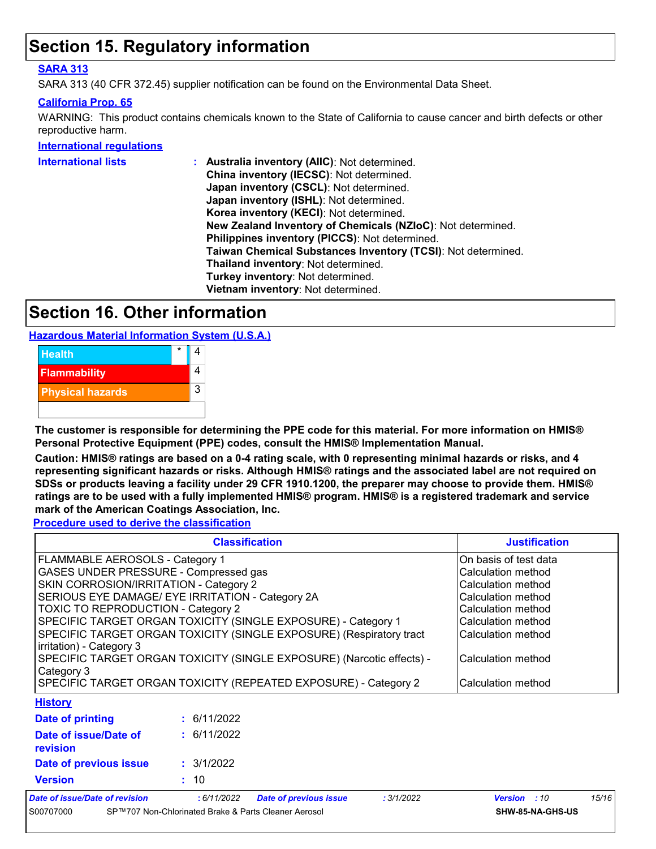### **Section 15. Regulatory information**

#### **SARA 313**

SARA 313 (40 CFR 372.45) supplier notification can be found on the Environmental Data Sheet.

#### **California Prop. 65**

WARNING: This product contains chemicals known to the State of California to cause cancer and birth defects or other reproductive harm.

**International regulations**

| <b>International lists</b> | Australia inventory (AIIC): Not determined.                  |
|----------------------------|--------------------------------------------------------------|
|                            | China inventory (IECSC): Not determined.                     |
|                            | Japan inventory (CSCL): Not determined.                      |
|                            | Japan inventory (ISHL): Not determined.                      |
|                            | Korea inventory (KECI): Not determined.                      |
|                            | New Zealand Inventory of Chemicals (NZIoC): Not determined.  |
|                            | Philippines inventory (PICCS): Not determined.               |
|                            | Taiwan Chemical Substances Inventory (TCSI): Not determined. |
|                            | Thailand inventory: Not determined.                          |
|                            | Turkey inventory: Not determined.                            |
|                            | Vietnam inventory: Not determined.                           |

### **Section 16. Other information**

**Hazardous Material Information System (U.S.A.)**



**The customer is responsible for determining the PPE code for this material. For more information on HMIS® Personal Protective Equipment (PPE) codes, consult the HMIS® Implementation Manual.**

**Caution: HMIS® ratings are based on a 0-4 rating scale, with 0 representing minimal hazards or risks, and 4 representing significant hazards or risks. Although HMIS® ratings and the associated label are not required on SDSs or products leaving a facility under 29 CFR 1910.1200, the preparer may choose to provide them. HMIS® ratings are to be used with a fully implemented HMIS® program. HMIS® is a registered trademark and service mark of the American Coatings Association, Inc.**

**Procedure used to derive the classification**

|                                                                                                 | <b>Justification</b>                                                  |                               |                       |                    |       |  |
|-------------------------------------------------------------------------------------------------|-----------------------------------------------------------------------|-------------------------------|-----------------------|--------------------|-------|--|
| <b>FLAMMABLE AEROSOLS - Category 1</b>                                                          |                                                                       |                               | On basis of test data |                    |       |  |
| GASES UNDER PRESSURE - Compressed gas                                                           |                                                                       |                               | Calculation method    |                    |       |  |
| SKIN CORROSION/IRRITATION - Category 2                                                          |                                                                       |                               |                       | Calculation method |       |  |
| SERIOUS EYE DAMAGE/ EYE IRRITATION - Category 2A                                                |                                                                       |                               |                       | Calculation method |       |  |
| <b>TOXIC TO REPRODUCTION - Category 2</b>                                                       |                                                                       |                               |                       | Calculation method |       |  |
| SPECIFIC TARGET ORGAN TOXICITY (SINGLE EXPOSURE) - Category 1                                   |                                                                       |                               | Calculation method    |                    |       |  |
| SPECIFIC TARGET ORGAN TOXICITY (SINGLE EXPOSURE) (Respiratory tract<br>irritation) - Category 3 |                                                                       |                               |                       | Calculation method |       |  |
|                                                                                                 | SPECIFIC TARGET ORGAN TOXICITY (SINGLE EXPOSURE) (Narcotic effects) - |                               |                       | Calculation method |       |  |
| Category 3                                                                                      |                                                                       |                               |                       |                    |       |  |
| SPECIFIC TARGET ORGAN TOXICITY (REPEATED EXPOSURE) - Category 2                                 |                                                                       |                               |                       | Calculation method |       |  |
| <b>History</b>                                                                                  |                                                                       |                               |                       |                    |       |  |
| Date of printing                                                                                | : 6/11/2022                                                           |                               |                       |                    |       |  |
| Date of issue/Date of<br>revision                                                               | : 6/11/2022                                                           |                               |                       |                    |       |  |
| Date of previous issue                                                                          | : 3/1/2022                                                            |                               |                       |                    |       |  |
| <b>Version</b>                                                                                  | : 10                                                                  |                               |                       |                    |       |  |
| <b>Date of issue/Date of revision</b>                                                           | :6/11/2022                                                            | <b>Date of previous issue</b> | : 3/1/2022            | Version : 10       | 15/16 |  |
| SP™707 Non-Chlorinated Brake & Parts Cleaner Aerosol<br>S00707000                               |                                                                       |                               |                       | SHW-85-NA-GHS-US   |       |  |